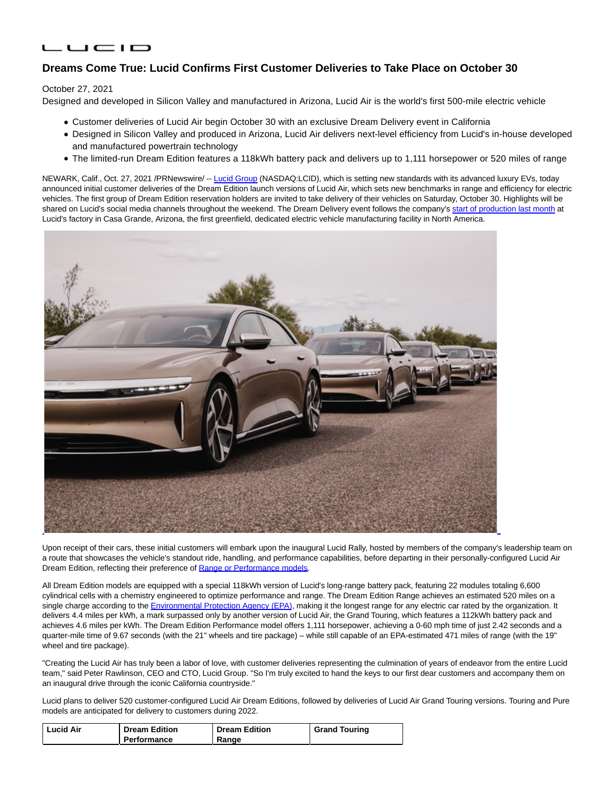# LUCID

# **Dreams Come True: Lucid Confirms First Customer Deliveries to Take Place on October 30**

## October 27, 2021

Designed and developed in Silicon Valley and manufactured in Arizona, Lucid Air is the world's first 500-mile electric vehicle

- Customer deliveries of Lucid Air begin October 30 with an exclusive Dream Delivery event in California
- Designed in Silicon Valley and produced in Arizona, Lucid Air delivers next-level efficiency from Lucid's in-house developed and manufactured powertrain technology
- The limited-run Dream Edition features a 118kWh battery pack and delivers up to 1,111 horsepower or 520 miles of range

NEWARK, Calif., Oct. 27, 2021 /PRNewswire/ -- [Lucid Group \(](https://c212.net/c/link/?t=0&l=en&o=3337639-1&h=367805464&u=https%3A%2F%2Fwww.lucidmotors.com%2F&a=Lucid+Group)NASDAQ:LCID), which is setting new standards with its advanced luxury EVs, today announced initial customer deliveries of the Dream Edition launch versions of Lucid Air, which sets new benchmarks in range and efficiency for electric vehicles. The first group of Dream Edition reservation holders are invited to take delivery of their vehicles on Saturday, October 30. Highlights will be shared on Lucid's social media channels throughout the weekend. The Dream Delivery event follows the company's [start of production last month a](https://c212.net/c/link/?t=0&l=en&o=3337639-1&h=338091695&u=https%3A%2F%2Fwww.lucidmotors.com%2Fmedia-room%2Flucid-starts-production-deliveries-begin-october&a=start+of+production+last+month)t Lucid's factory in Casa Grande, Arizona, the first greenfield, dedicated electric vehicle manufacturing facility in North America.



Upon receipt of their cars, these initial customers will embark upon the inaugural Lucid Rally, hosted by members of the company's leadership team on a route that showcases the vehicle's standout ride, handling, and performance capabilities, before departing in their personally-configured Lucid Air Dream Edition, reflecting their preference of [Range or Performance models.](https://c212.net/c/link/?t=0&l=en&o=3337639-1&h=3779998436&u=https%3A%2F%2Fwww.lucidmotors.com%2Fmedia-room%2Ffaster-and-farther-lucid-announces-two-versions-of-lucid-air-dream-edition&a=Range+or+Performance+models)

All Dream Edition models are equipped with a special 118kWh version of Lucid's long-range battery pack, featuring 22 modules totaling 6,600 cylindrical cells with a chemistry engineered to optimize performance and range. The Dream Edition Range achieves an estimated 520 miles on a single charge according to the [Environmental Protection Agency \(EPA\),](https://c212.net/c/link/?t=0&l=en&o=3337639-1&h=505476929&u=https%3A%2F%2Fwww.fueleconomy.gov%2Ffeg%2FFind.do%3Faction%3Dsbs%26id%3D44493%26id%3D44491%26id%3D44495&a=Environmental+Protection+Agency+(EPA)) making it the longest range for any electric car rated by the organization. It delivers 4.4 miles per kWh, a mark surpassed only by another version of Lucid Air, the Grand Touring, which features a 112kWh battery pack and achieves 4.6 miles per kWh. The Dream Edition Performance model offers 1,111 horsepower, achieving a 0-60 mph time of just 2.42 seconds and a quarter-mile time of 9.67 seconds (with the 21" wheels and tire package) – while still capable of an EPA-estimated 471 miles of range (with the 19" wheel and tire package).

"Creating the Lucid Air has truly been a labor of love, with customer deliveries representing the culmination of years of endeavor from the entire Lucid team," said Peter Rawlinson, CEO and CTO, Lucid Group. "So I'm truly excited to hand the keys to our first dear customers and accompany them on an inaugural drive through the iconic California countryside."

Lucid plans to deliver 520 customer-configured Lucid Air Dream Editions, followed by deliveries of Lucid Air Grand Touring versions. Touring and Pure models are anticipated for delivery to customers during 2022.

| <b>Lucid Air</b> | <b>Dream Edition</b> | <b>Dream Edition</b> | <b>Grand Touring</b> |
|------------------|----------------------|----------------------|----------------------|
|                  | Performance          | Range                |                      |